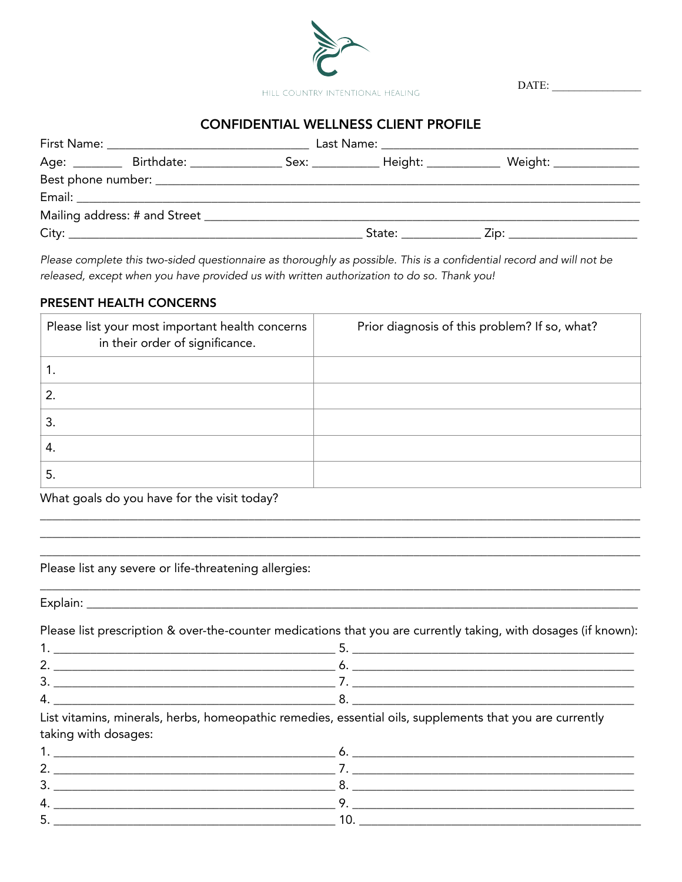

 $\text{DATE:}\underbrace{\qquad \qquad }_{\qquad \qquad \qquad \qquad }\qquad \qquad \qquad }% \begin{array} [c]{cccccc} \text{DATE:} & \text{DATE:} & \text{ADATE:} & \text{ADATE:} & \text{ADATE:} & \text{ADATE:} & \text{ADATE:} & \text{ADATE:} & \text{ADATE:} & \text{ADATE:} & \text{ADATE:} & \text{ADATE:} & \text{ADATE:} & \text{ADATE:} & \text{ADATE:} & \text{ADATE:} & \text{ADATE:} & \text{ADATE:} & \text{ADATE:} & \text{ADATE:} & \text{ADATE:} & \$ 

## **CONFIDENTIAL WELLNESS CLIENT PROFILE**

|  |  | Age: _________ Birthdate: ________________ Sex: _____________ Height: ____________ Weight: ______________ |
|--|--|-----------------------------------------------------------------------------------------------------------|
|  |  |                                                                                                           |
|  |  |                                                                                                           |
|  |  |                                                                                                           |
|  |  |                                                                                                           |

Please complete this two-sided questionnaire as thoroughly as possible. This is a confidential record and will not be released, except when you have provided us with written authorization to do so. Thank you!

#### PRESENT HEALTH CONCERNS

| Please list your most important health concerns<br>in their order of significance. | Prior diagnosis of this problem? If so, what? |
|------------------------------------------------------------------------------------|-----------------------------------------------|
| Ί.                                                                                 |                                               |
| $\overline{2}$ .                                                                   |                                               |
| 3.                                                                                 |                                               |
| 4.                                                                                 |                                               |
| 5.                                                                                 |                                               |

What goals do you have for the visit today?

Please list any severe or life-threatening allergies:

Please list prescription & over-the-counter medications that you are currently taking, with dosages (if known):

List vitamins, minerals, herbs, homeopathic remedies, essential oils, supplements that you are currently taking with dosages:

| . ب |  |
|-----|--|
|     |  |
|     |  |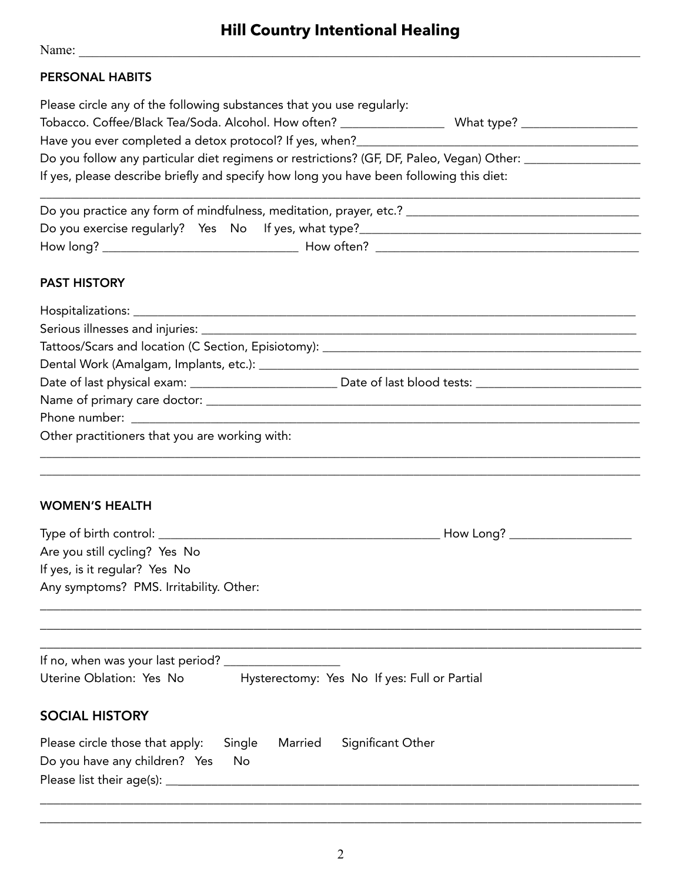# **Hill Country Intentional Healing**

Name: \_\_\_\_\_\_\_\_\_\_\_\_\_\_\_\_\_\_\_\_\_\_\_\_\_\_\_\_\_\_\_\_\_\_\_\_\_\_\_\_\_\_\_\_\_\_\_\_\_\_\_\_\_\_\_\_\_\_\_\_\_\_\_\_\_\_\_\_\_\_\_\_\_\_\_\_\_\_\_\_\_\_\_\_

## PERSONAL HABITS

| Please circle any of the following substances that you use regularly:                     |  |  |  |  |  |
|-------------------------------------------------------------------------------------------|--|--|--|--|--|
| Tobacco. Coffee/Black Tea/Soda. Alcohol. How often? __<br>What type?                      |  |  |  |  |  |
| Have you ever completed a detox protocol? If yes, when?                                   |  |  |  |  |  |
| Do you follow any particular diet regimens or restrictions? (GF, DF, Paleo, Vegan) Other: |  |  |  |  |  |
| If yes, please describe briefly and specify how long you have been following this diet:   |  |  |  |  |  |

| Do you practice any form of mindfulness, meditation, prayer, etc.? |  |  |            |  |  |
|--------------------------------------------------------------------|--|--|------------|--|--|
| Do you exercise regularly? Yes No If yes, what type?               |  |  |            |  |  |
| How long?                                                          |  |  | How often? |  |  |

\_\_\_\_\_\_\_\_\_\_\_\_\_\_\_\_\_\_\_\_\_\_\_\_\_\_\_\_\_\_\_\_\_\_\_\_\_\_\_\_\_\_\_\_\_\_\_\_\_\_\_\_\_\_\_\_\_\_\_\_\_\_\_\_\_\_\_\_\_\_\_\_\_\_\_\_\_\_\_\_\_\_\_\_\_\_\_\_\_\_\_\_\_\_\_\_\_\_

## PAST HISTORY

| Date of last physical exam: _________________________________Date of last blood tests: _______________________ |  |  |  |  |
|----------------------------------------------------------------------------------------------------------------|--|--|--|--|
|                                                                                                                |  |  |  |  |
|                                                                                                                |  |  |  |  |
| Other practitioners that you are working with:                                                                 |  |  |  |  |
|                                                                                                                |  |  |  |  |

\_\_\_\_\_\_\_\_\_\_\_\_\_\_\_\_\_\_\_\_\_\_\_\_\_\_\_\_\_\_\_\_\_\_\_\_\_\_\_\_\_\_\_\_\_\_\_\_\_\_\_\_\_\_\_\_\_\_\_\_\_\_\_\_\_\_\_\_\_\_\_\_\_\_\_\_\_\_\_\_\_\_\_\_\_\_\_\_\_\_\_\_\_\_\_\_\_\_

#### WOMEN'S HEALTH

| Type of birth control:                  | How Long? |
|-----------------------------------------|-----------|
| Are you still cycling? Yes No           |           |
| If yes, is it regular? Yes No           |           |
| Any symptoms? PMS. Irritability. Other: |           |
|                                         |           |

\_\_\_\_\_\_\_\_\_\_\_\_\_\_\_\_\_\_\_\_\_\_\_\_\_\_\_\_\_\_\_\_\_\_\_\_\_\_\_\_\_\_\_\_\_\_\_\_\_\_\_\_\_\_\_\_\_\_\_\_\_\_\_\_\_\_\_\_\_\_\_\_\_\_\_\_\_\_\_\_\_\_\_\_\_\_\_\_\_\_ \_\_\_\_\_\_\_\_\_\_\_\_\_\_\_\_\_\_\_\_\_\_\_\_\_\_\_\_\_\_\_\_\_\_\_\_\_\_\_\_\_\_\_\_\_\_\_\_\_\_\_\_\_\_\_\_\_\_\_\_\_\_\_\_\_\_\_\_\_\_\_\_\_\_\_\_\_\_\_\_\_\_\_\_\_\_\_\_\_\_

| If no, when was your last period? |  |                                              |
|-----------------------------------|--|----------------------------------------------|
| Uterine Oblation: Yes No          |  | Hysterectomy: Yes No If yes: Full or Partial |

# SOCIAL HISTORY

| Please circle those that apply: Single Married Significant Other |  |  |
|------------------------------------------------------------------|--|--|
| Do you have any children? Yes No                                 |  |  |
| Please list their age(s): $\overline{\phantom{a}}$               |  |  |

\_\_\_\_\_\_\_\_\_\_\_\_\_\_\_\_\_\_\_\_\_\_\_\_\_\_\_\_\_\_\_\_\_\_\_\_\_\_\_\_\_\_\_\_\_\_\_\_\_\_\_\_\_\_\_\_\_\_\_\_\_\_\_\_\_\_\_\_\_\_\_\_\_\_\_\_\_\_\_\_\_\_\_\_\_\_\_\_\_\_ \_\_\_\_\_\_\_\_\_\_\_\_\_\_\_\_\_\_\_\_\_\_\_\_\_\_\_\_\_\_\_\_\_\_\_\_\_\_\_\_\_\_\_\_\_\_\_\_\_\_\_\_\_\_\_\_\_\_\_\_\_\_\_\_\_\_\_\_\_\_\_\_\_\_\_\_\_\_\_\_\_\_\_\_\_\_\_\_\_\_